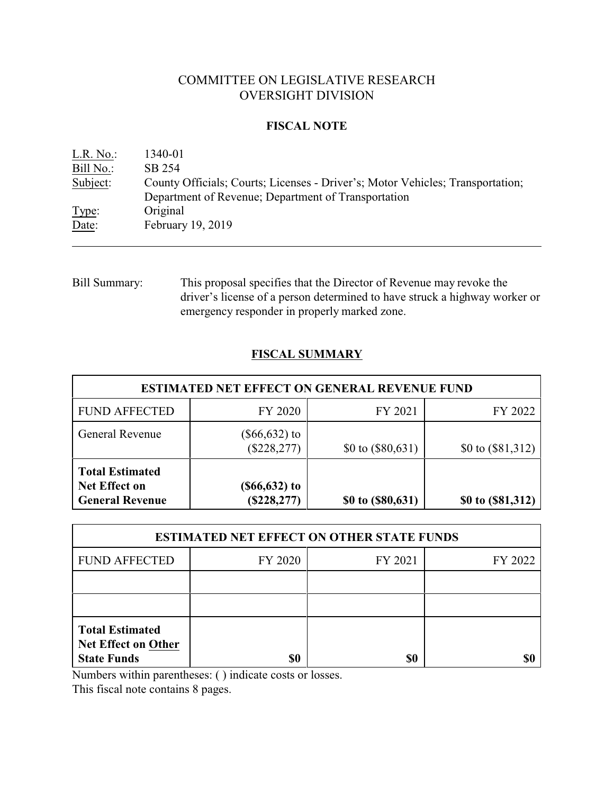# COMMITTEE ON LEGISLATIVE RESEARCH OVERSIGHT DIVISION

### **FISCAL NOTE**

| L.R. No.: | 1340-01                                                                        |
|-----------|--------------------------------------------------------------------------------|
| Bill No.: | SB 254                                                                         |
| Subject:  | County Officials; Courts; Licenses - Driver's; Motor Vehicles; Transportation; |
|           | Department of Revenue; Department of Transportation                            |
| Type:     | Original                                                                       |
| Date:     | February 19, 2019                                                              |

Bill Summary: This proposal specifies that the Director of Revenue may revoke the driver's license of a person determined to have struck a highway worker or emergency responder in properly marked zone.

# **FISCAL SUMMARY**

| <b>ESTIMATED NET EFFECT ON GENERAL REVENUE FUND</b>                      |                                    |                     |                     |  |  |
|--------------------------------------------------------------------------|------------------------------------|---------------------|---------------------|--|--|
| <b>FUND AFFECTED</b>                                                     | FY 2020                            | FY 2021             | FY 2022             |  |  |
| <b>General Revenue</b>                                                   | $(\$66,632)$ to<br>$(\$228,277)$   | \$0 to $(\$80,631)$ | \$0 to $(\$81,312)$ |  |  |
| <b>Total Estimated</b><br><b>Net Effect on</b><br><b>General Revenue</b> | $($ \$66,632 $)$ to<br>(\$228,277) | \$0 to (\$80,631)   | \$0 to (\$81,312)   |  |  |

| <b>ESTIMATED NET EFFECT ON OTHER STATE FUNDS</b>                           |         |         |         |  |
|----------------------------------------------------------------------------|---------|---------|---------|--|
| <b>FUND AFFECTED</b>                                                       | FY 2020 | FY 2021 | FY 2022 |  |
|                                                                            |         |         |         |  |
|                                                                            |         |         |         |  |
| <b>Total Estimated</b><br><b>Net Effect on Other</b><br><b>State Funds</b> | \$0     | \$0     |         |  |

Numbers within parentheses: ( ) indicate costs or losses.

This fiscal note contains 8 pages.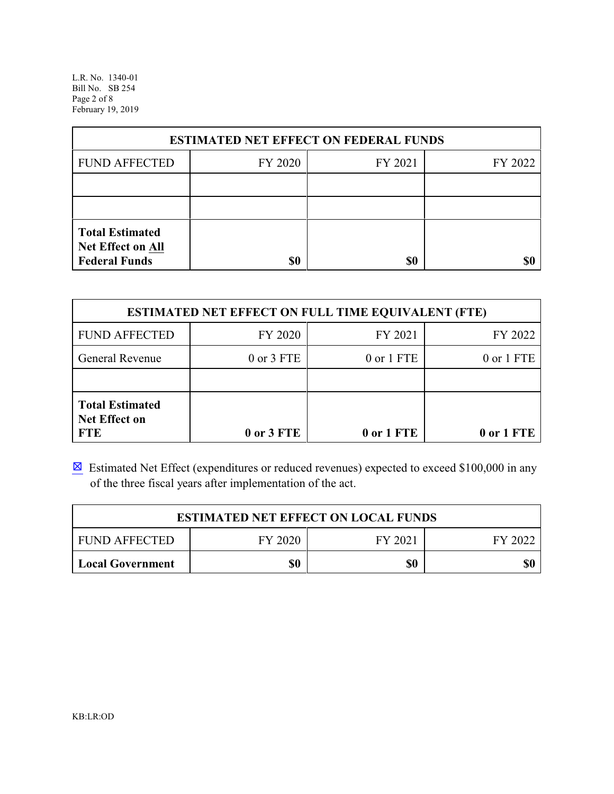L.R. No. 1340-01 Bill No. SB 254 Page 2 of 8 February 19, 2019

|                                                                     | <b>ESTIMATED NET EFFECT ON FEDERAL FUNDS</b> |         |         |
|---------------------------------------------------------------------|----------------------------------------------|---------|---------|
| <b>FUND AFFECTED</b>                                                | FY 2020                                      | FY 2021 | FY 2022 |
|                                                                     |                                              |         |         |
|                                                                     |                                              |         |         |
| <b>Total Estimated</b><br>Net Effect on All<br><b>Federal Funds</b> | \$0                                          | \$0     |         |

| <b>ESTIMATED NET EFFECT ON FULL TIME EQUIVALENT (FTE)</b>    |                |            |            |  |
|--------------------------------------------------------------|----------------|------------|------------|--|
| <b>FUND AFFECTED</b>                                         | FY 2020        | FY 2021    | FY 2022    |  |
| General Revenue                                              | $0$ or $3$ FTE | 0 or 1 FTE | 0 or 1 FTE |  |
|                                                              |                |            |            |  |
| <b>Total Estimated</b><br><b>Net Effect on</b><br><b>FTE</b> | 0 or 3 FTE     | 0 or 1 FTE | 0 or 1 FTE |  |

 $\boxtimes$  Estimated Net Effect (expenditures or reduced revenues) expected to exceed \$100,000 in any of the three fiscal years after implementation of the act.

|                         |         | <b>ESTIMATED NET EFFECT ON LOCAL FUNDS</b> |         |
|-------------------------|---------|--------------------------------------------|---------|
| <b>FUND AFFECTED</b>    | FY 2020 | FY 2021                                    | FY 2022 |
| <b>Local Government</b> | \$0     | \$0                                        | \$0     |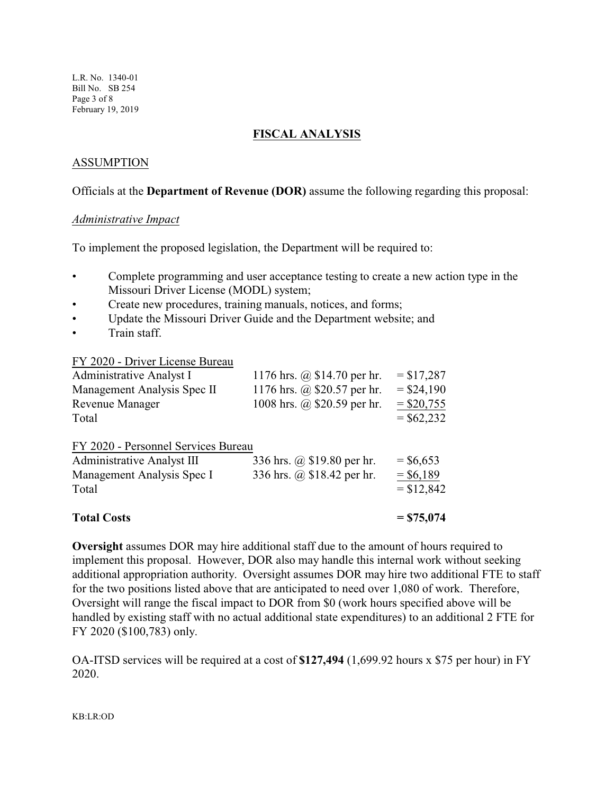L.R. No. 1340-01 Bill No. SB 254 Page 3 of 8 February 19, 2019

## **FISCAL ANALYSIS**

# ASSUMPTION

### Officials at the **Department of Revenue (DOR)** assume the following regarding this proposal:

#### *Administrative Impact*

To implement the proposed legislation, the Department will be required to:

- Complete programming and user acceptance testing to create a new action type in the Missouri Driver License (MODL) system;
- Create new procedures, training manuals, notices, and forms;
- Update the Missouri Driver Guide and the Department website; and
- Train staff.

#### FY 2020 - Driver License Bureau

| Administrative Analyst I            | 1176 hrs. @ \$14.70 per hr. | $= $17,287$  |
|-------------------------------------|-----------------------------|--------------|
| Management Analysis Spec II         | 1176 hrs. @ \$20.57 per hr. | $=$ \$24,190 |
| Revenue Manager                     | 1008 hrs. @ \$20.59 per hr. | $=$ \$20,755 |
| Total                               |                             | $=$ \$62,232 |
| FY 2020 - Personnel Services Bureau |                             |              |
| <b>Administrative Analyst III</b>   | 336 hrs. @ \$19.80 per hr.  | $=$ \$6,653  |
| Management Analysis Spec I          | 336 hrs. @ \$18.42 per hr.  | $=$ \$6,189  |
| Total                               |                             | $= $12,842$  |
|                                     |                             |              |

#### **Total Costs = \$75,074**

**Oversight** assumes DOR may hire additional staff due to the amount of hours required to implement this proposal. However, DOR also may handle this internal work without seeking additional appropriation authority. Oversight assumes DOR may hire two additional FTE to staff for the two positions listed above that are anticipated to need over 1,080 of work. Therefore, Oversight will range the fiscal impact to DOR from \$0 (work hours specified above will be handled by existing staff with no actual additional state expenditures) to an additional 2 FTE for FY 2020 (\$100,783) only.

OA-ITSD services will be required at a cost of **\$127,494** (1,699.92 hours x \$75 per hour) in FY 2020.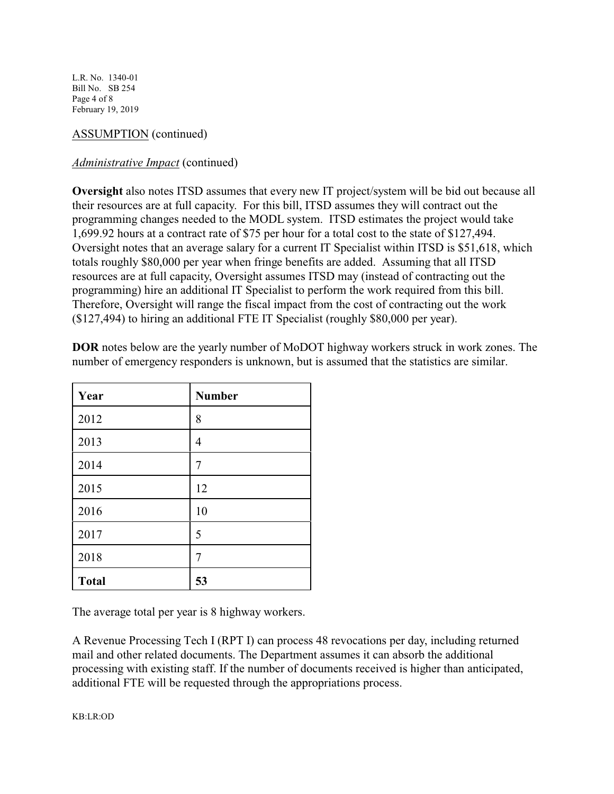L.R. No. 1340-01 Bill No. SB 254 Page 4 of 8 February 19, 2019

# ASSUMPTION (continued)

# *Administrative Impact* (continued)

**Oversight** also notes ITSD assumes that every new IT project/system will be bid out because all their resources are at full capacity. For this bill, ITSD assumes they will contract out the programming changes needed to the MODL system. ITSD estimates the project would take 1,699.92 hours at a contract rate of \$75 per hour for a total cost to the state of \$127,494. Oversight notes that an average salary for a current IT Specialist within ITSD is \$51,618, which totals roughly \$80,000 per year when fringe benefits are added. Assuming that all ITSD resources are at full capacity, Oversight assumes ITSD may (instead of contracting out the programming) hire an additional IT Specialist to perform the work required from this bill. Therefore, Oversight will range the fiscal impact from the cost of contracting out the work (\$127,494) to hiring an additional FTE IT Specialist (roughly \$80,000 per year).

| Year         | <b>Number</b> |
|--------------|---------------|
| 2012         | 8             |
| 2013         | 4             |
| 2014         | 7             |
| 2015         | 12            |
| 2016         | 10            |
| 2017         | 5             |
| 2018         | 7             |
| <b>Total</b> | 53            |

**DOR** notes below are the yearly number of MoDOT highway workers struck in work zones. The number of emergency responders is unknown, but is assumed that the statistics are similar.

The average total per year is 8 highway workers.

A Revenue Processing Tech I (RPT I) can process 48 revocations per day, including returned mail and other related documents. The Department assumes it can absorb the additional processing with existing staff. If the number of documents received is higher than anticipated, additional FTE will be requested through the appropriations process.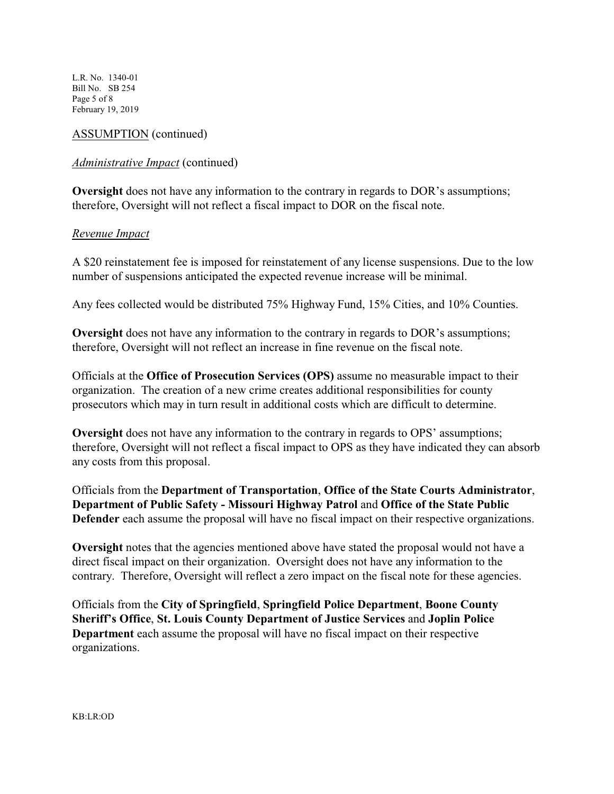L.R. No. 1340-01 Bill No. SB 254 Page 5 of 8 February 19, 2019

## ASSUMPTION (continued)

### *Administrative Impact* (continued)

**Oversight** does not have any information to the contrary in regards to DOR's assumptions; therefore, Oversight will not reflect a fiscal impact to DOR on the fiscal note.

### *Revenue Impact*

A \$20 reinstatement fee is imposed for reinstatement of any license suspensions. Due to the low number of suspensions anticipated the expected revenue increase will be minimal.

Any fees collected would be distributed 75% Highway Fund, 15% Cities, and 10% Counties.

**Oversight** does not have any information to the contrary in regards to DOR's assumptions; therefore, Oversight will not reflect an increase in fine revenue on the fiscal note.

Officials at the **Office of Prosecution Services (OPS)** assume no measurable impact to their organization. The creation of a new crime creates additional responsibilities for county prosecutors which may in turn result in additional costs which are difficult to determine.

**Oversight** does not have any information to the contrary in regards to OPS' assumptions; therefore, Oversight will not reflect a fiscal impact to OPS as they have indicated they can absorb any costs from this proposal.

Officials from the **Department of Transportation**, **Office of the State Courts Administrator**, **Department of Public Safety - Missouri Highway Patrol** and **Office of the State Public Defender** each assume the proposal will have no fiscal impact on their respective organizations.

**Oversight** notes that the agencies mentioned above have stated the proposal would not have a direct fiscal impact on their organization. Oversight does not have any information to the contrary. Therefore, Oversight will reflect a zero impact on the fiscal note for these agencies.

Officials from the **City of Springfield**, **Springfield Police Department**, **Boone County Sheriff's Office**, **St. Louis County Department of Justice Services** and **Joplin Police Department** each assume the proposal will have no fiscal impact on their respective organizations.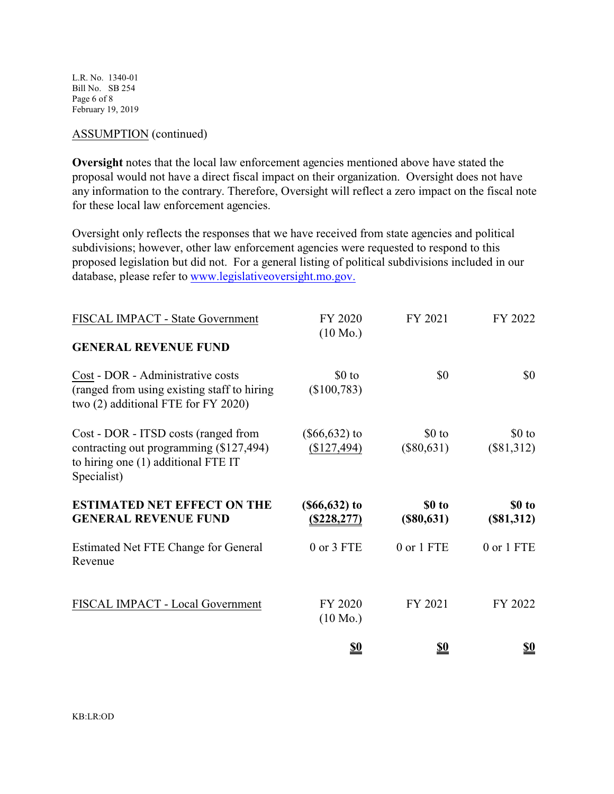L.R. No. 1340-01 Bill No. SB 254 Page 6 of 8 February 19, 2019

### ASSUMPTION (continued)

**Oversight** notes that the local law enforcement agencies mentioned above have stated the proposal would not have a direct fiscal impact on their organization. Oversight does not have any information to the contrary. Therefore, Oversight will reflect a zero impact on the fiscal note for these local law enforcement agencies.

Oversight only reflects the responses that we have received from state agencies and political subdivisions; however, other law enforcement agencies were requested to respond to this proposed legislation but did not. For a general listing of political subdivisions included in our database, please refer to [www.legislativeoversight.mo.gov.](http://www.legislativeoversight.mo.gov.)

| FISCAL IMPACT - State Government                                                                                                      | FY 2020<br>$(10 \text{ Mo.})$  | FY 2021                 | FY 2022                 |
|---------------------------------------------------------------------------------------------------------------------------------------|--------------------------------|-------------------------|-------------------------|
| <b>GENERAL REVENUE FUND</b>                                                                                                           |                                |                         |                         |
| Cost - DOR - Administrative costs<br>(ranged from using existing staff to hiring)<br>two (2) additional FTE for FY 2020)              | $$0$ to<br>(\$100,783)         | \$0                     | \$0                     |
| Cost - DOR - ITSD costs (ranged from<br>contracting out programming (\$127,494)<br>to hiring one (1) additional FTE IT<br>Specialist) | $(\$66,632)$ to<br>(\$127,494) | $$0$ to<br>$(\$80,631)$ | $$0$ to<br>$(\$81,312)$ |
|                                                                                                                                       |                                |                         |                         |
| <b>ESTIMATED NET EFFECT ON THE</b><br><b>GENERAL REVENUE FUND</b>                                                                     | $(§66, 632)$ to<br>(S228, 277) | \$0 to<br>$(\$80,631)$  | \$0 to<br>(\$81,312)    |
| Estimated Net FTE Change for General<br>Revenue                                                                                       | 0 or 3 FTE                     | 0 or 1 FTE              | 0 or 1 FTE              |
| FISCAL IMPACT - Local Government                                                                                                      | FY 2020<br>$(10 \text{ Mo.})$  | FY 2021                 | FY 2022                 |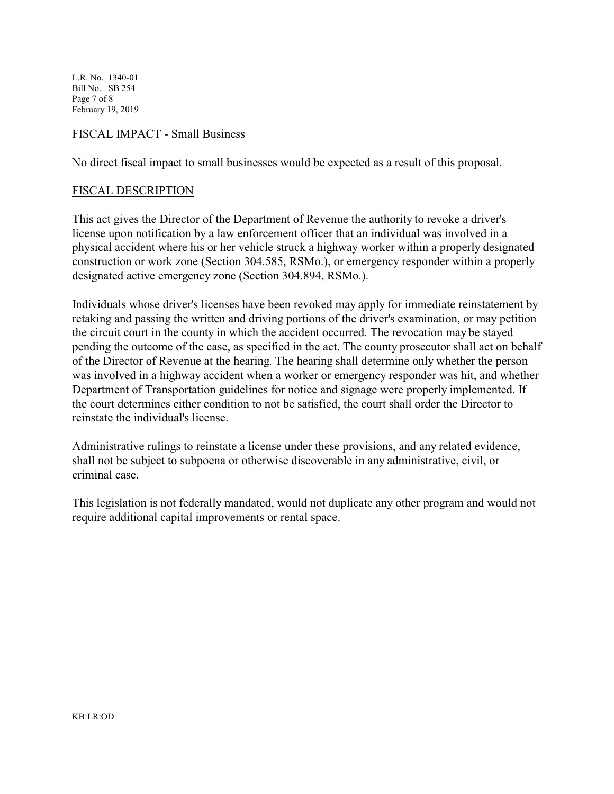L.R. No. 1340-01 Bill No. SB 254 Page 7 of 8 February 19, 2019

### FISCAL IMPACT - Small Business

No direct fiscal impact to small businesses would be expected as a result of this proposal.

#### FISCAL DESCRIPTION

This act gives the Director of the Department of Revenue the authority to revoke a driver's license upon notification by a law enforcement officer that an individual was involved in a physical accident where his or her vehicle struck a highway worker within a properly designated construction or work zone (Section 304.585, RSMo.), or emergency responder within a properly designated active emergency zone (Section 304.894, RSMo.).

Individuals whose driver's licenses have been revoked may apply for immediate reinstatement by retaking and passing the written and driving portions of the driver's examination, or may petition the circuit court in the county in which the accident occurred. The revocation may be stayed pending the outcome of the case, as specified in the act. The county prosecutor shall act on behalf of the Director of Revenue at the hearing. The hearing shall determine only whether the person was involved in a highway accident when a worker or emergency responder was hit, and whether Department of Transportation guidelines for notice and signage were properly implemented. If the court determines either condition to not be satisfied, the court shall order the Director to reinstate the individual's license.

Administrative rulings to reinstate a license under these provisions, and any related evidence, shall not be subject to subpoena or otherwise discoverable in any administrative, civil, or criminal case.

This legislation is not federally mandated, would not duplicate any other program and would not require additional capital improvements or rental space.